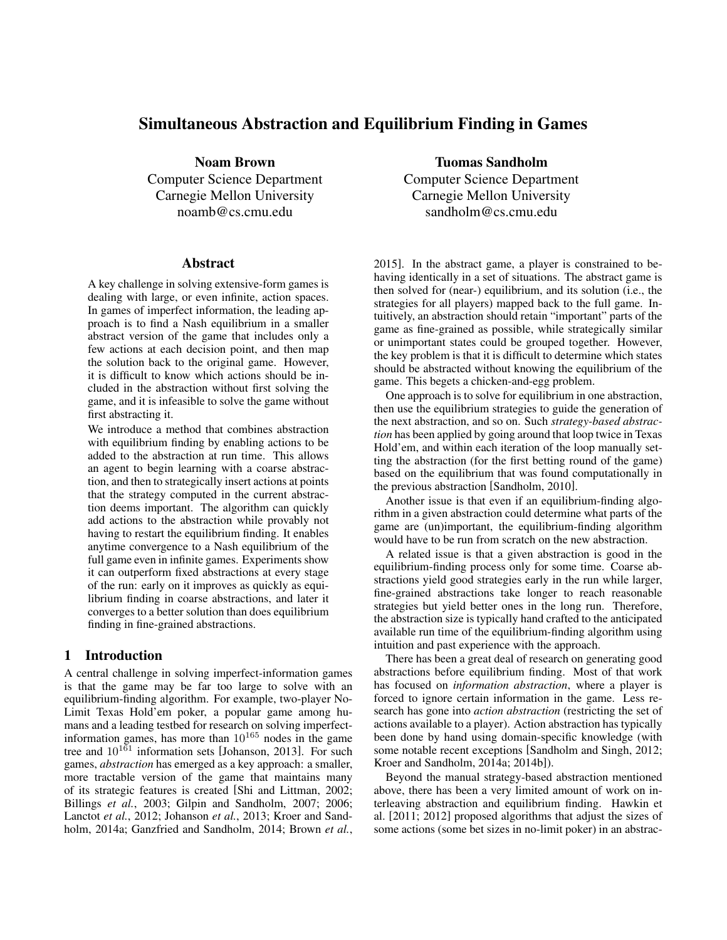# Simultaneous Abstraction and Equilibrium Finding in Games

Noam Brown Computer Science Department Carnegie Mellon University noamb@cs.cmu.edu

#### Abstract

A key challenge in solving extensive-form games is dealing with large, or even infinite, action spaces. In games of imperfect information, the leading approach is to find a Nash equilibrium in a smaller abstract version of the game that includes only a few actions at each decision point, and then map the solution back to the original game. However, it is difficult to know which actions should be included in the abstraction without first solving the game, and it is infeasible to solve the game without first abstracting it.

We introduce a method that combines abstraction with equilibrium finding by enabling actions to be added to the abstraction at run time. This allows an agent to begin learning with a coarse abstraction, and then to strategically insert actions at points that the strategy computed in the current abstraction deems important. The algorithm can quickly add actions to the abstraction while provably not having to restart the equilibrium finding. It enables anytime convergence to a Nash equilibrium of the full game even in infinite games. Experiments show it can outperform fixed abstractions at every stage of the run: early on it improves as quickly as equilibrium finding in coarse abstractions, and later it converges to a better solution than does equilibrium finding in fine-grained abstractions.

#### 1 Introduction

A central challenge in solving imperfect-information games is that the game may be far too large to solve with an equilibrium-finding algorithm. For example, two-player No-Limit Texas Hold'em poker, a popular game among humans and a leading testbed for research on solving imperfectinformation games, has more than  $10^{165}$  nodes in the game tree and  $10^{161}$  information sets [Johanson, 2013]. For such games, *abstraction* has emerged as a key approach: a smaller, more tractable version of the game that maintains many of its strategic features is created [Shi and Littman, 2002; Billings *et al.*, 2003; Gilpin and Sandholm, 2007; 2006; Lanctot *et al.*, 2012; Johanson *et al.*, 2013; Kroer and Sandholm, 2014a; Ganzfried and Sandholm, 2014; Brown *et al.*,

Tuomas Sandholm Computer Science Department Carnegie Mellon University sandholm@cs.cmu.edu

2015]. In the abstract game, a player is constrained to behaving identically in a set of situations. The abstract game is then solved for (near-) equilibrium, and its solution (i.e., the strategies for all players) mapped back to the full game. Intuitively, an abstraction should retain "important" parts of the game as fine-grained as possible, while strategically similar or unimportant states could be grouped together. However, the key problem is that it is difficult to determine which states should be abstracted without knowing the equilibrium of the game. This begets a chicken-and-egg problem.

One approach is to solve for equilibrium in one abstraction, then use the equilibrium strategies to guide the generation of the next abstraction, and so on. Such *strategy-based abstraction* has been applied by going around that loop twice in Texas Hold'em, and within each iteration of the loop manually setting the abstraction (for the first betting round of the game) based on the equilibrium that was found computationally in the previous abstraction [Sandholm, 2010].

Another issue is that even if an equilibrium-finding algorithm in a given abstraction could determine what parts of the game are (un)important, the equilibrium-finding algorithm would have to be run from scratch on the new abstraction.

A related issue is that a given abstraction is good in the equilibrium-finding process only for some time. Coarse abstractions yield good strategies early in the run while larger, fine-grained abstractions take longer to reach reasonable strategies but yield better ones in the long run. Therefore, the abstraction size is typically hand crafted to the anticipated available run time of the equilibrium-finding algorithm using intuition and past experience with the approach.

There has been a great deal of research on generating good abstractions before equilibrium finding. Most of that work has focused on *information abstraction*, where a player is forced to ignore certain information in the game. Less research has gone into *action abstraction* (restricting the set of actions available to a player). Action abstraction has typically been done by hand using domain-specific knowledge (with some notable recent exceptions [Sandholm and Singh, 2012; Kroer and Sandholm, 2014a; 2014b]).

Beyond the manual strategy-based abstraction mentioned above, there has been a very limited amount of work on interleaving abstraction and equilibrium finding. Hawkin et al. [2011; 2012] proposed algorithms that adjust the sizes of some actions (some bet sizes in no-limit poker) in an abstrac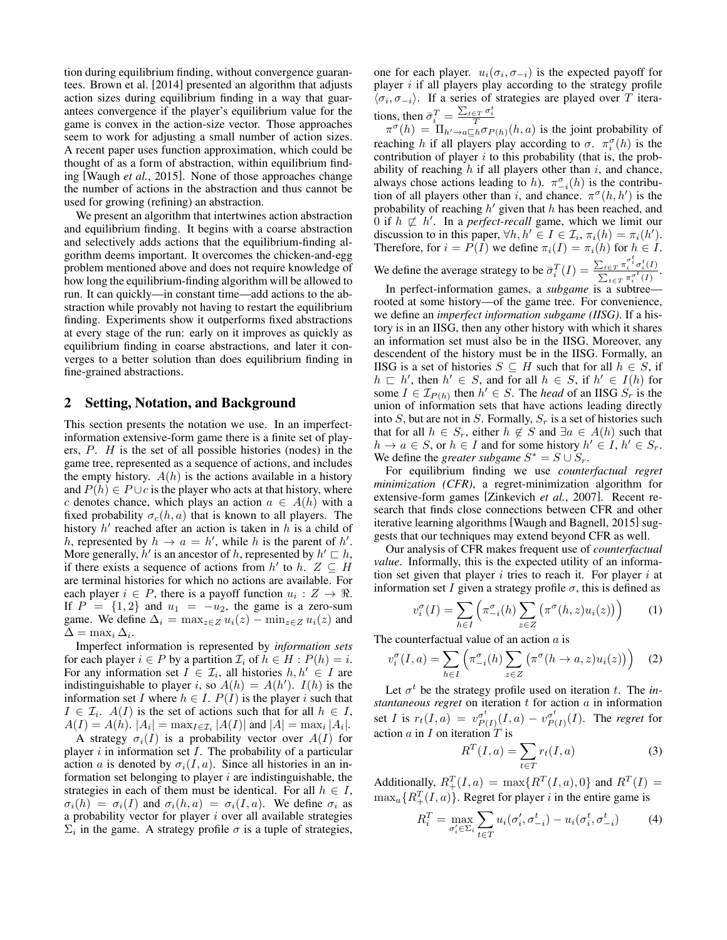tion during equilibrium finding, without convergence guarantees. Brown et al. [2014] presented an algorithm that adjusts action sizes during equilibrium finding in a way that guarantees convergence if the player's equilibrium value for the game is convex in the action-size vector. Those approaches seem to work for adjusting a small number of action sizes. A recent paper uses function approximation, which could be thought of as a form of abstraction, within equilibrium finding [Waugh *et al.*, 2015]. None of those approaches change the number of actions in the abstraction and thus cannot be used for growing (refining) an abstraction.

We present an algorithm that intertwines action abstraction and equilibrium finding. It begins with a coarse abstraction and selectively adds actions that the equilibrium-finding algorithm deems important. It overcomes the chicken-and-egg problem mentioned above and does not require knowledge of how long the equilibrium-finding algorithm will be allowed to run. It can quickly—in constant time—add actions to the abstraction while provably not having to restart the equilibrium finding. Experiments show it outperforms fixed abstractions at every stage of the run: early on it improves as quickly as equilibrium finding in coarse abstractions, and later it converges to a better solution than does equilibrium finding in fine-grained abstractions.

### 2 Setting, Notation, and Background

This section presents the notation we use. In an imperfectinformation extensive-form game there is a finite set of players, P. H is the set of all possible histories (nodes) in the game tree, represented as a sequence of actions, and includes the empty history.  $A(h)$  is the actions available in a history and  $P(h) \in P \cup c$  is the player who acts at that history, where c denotes chance, which plays an action  $a \in A(h)$  with a fixed probability  $\sigma_c(h, a)$  that is known to all players. The history  $h'$  reached after an action is taken in  $h$  is a child of h, represented by  $h \to a = h'$ , while h is the parent of h'. More generally,  $\hat{h}'$  is an ancestor of h, represented by  $h' \sqsubset h$ , if there exists a sequence of actions from h' to h.  $Z \subseteq H$ are terminal histories for which no actions are available. For each player  $i \in P$ , there is a payoff function  $u_i : Z \to \mathbb{R}$ . If  $P = \{1, 2\}$  and  $u_1 = -u_2$ , the game is a zero-sum game. We define  $\Delta_i = \max_{z \in Z} u_i(z) - \min_{z \in Z} u_i(z)$  and  $\Delta = \max_i \Delta_i$ .

Imperfect information is represented by *information sets* for each player  $i \in P$  by a partition  $\mathcal{I}_i$  of  $h \in H : P(h) = i$ . For any information set  $I \in \mathcal{I}_i$ , all histories  $h, h' \in I$  are indistinguishable to player i, so  $A(h) = A(h')$ .  $I(h)$  is the information set I where  $h \in I$ .  $P(I)$  is the player i such that  $I \in \mathcal{I}_i$ .  $A(I)$  is the set of actions such that for all  $h \in I$ ,  $A(I) = A(h)$ .  $|A_i| = \max_{I \in I_i} |A(I)|$  and  $|A| = \max_i |A_i|$ .

A strategy  $\sigma_i(I)$  is a probability vector over  $A(I)$  for player  $i$  in information set  $I$ . The probability of a particular action a is denoted by  $\sigma_i(I, a)$ . Since all histories in an information set belonging to player  $i$  are indistinguishable, the strategies in each of them must be identical. For all  $h \in I$ ,  $\sigma_i(h) = \sigma_i(I)$  and  $\sigma_i(h, a) = \sigma_i(I, a)$ . We define  $\sigma_i$  as a probability vector for player  $i$  over all available strategies  $\Sigma_i$  in the game. A strategy profile  $\sigma$  is a tuple of strategies,

one for each player.  $u_i(\sigma_i, \sigma_{-i})$  is the expected payoff for player  $i$  if all players play according to the strategy profile  $\langle \sigma_i, \sigma_{-i} \rangle$ . If a series of strategies are played over T iterations, then  $\bar{\sigma}_i^T = \frac{\sum_{t \in T} \sigma_i^t}{T}$ 

 $\pi^{\sigma}(h) = \Pi_{h' \to a \sqsubseteq h} \sigma_{P(h)}(h, a)$  is the joint probability of reaching h if all players play according to  $\sigma$ .  $\pi_i^{\sigma}(h)$  is the contribution of player  $i$  to this probability (that is, the probability of reaching  $h$  if all players other than  $i$ , and chance, always chose actions leading to h).  $\pi_{-i}^{\sigma}(h)$  is the contribution of all players other than i, and chance.  $\pi^{\sigma}(h, h')$  is the probability of reaching  $h'$  given that  $h$  has been reached, and 0 if  $h \not\sqsubset h'$ . In a *perfect-recall* game, which we limit our discussion to in this paper,  $\forall h, h' \in I \in \mathcal{I}_i$ ,  $\pi_i(h) = \pi_i(h')$ . Therefore, for  $i = P(I)$  we define  $\pi_i(I) = \pi_i(h)$  for  $h \in I$ . We define the average strategy to be  $\bar{\sigma}_i^T(I) = \frac{\sum_{t \in T} \pi_i^{\sigma_i^t} \sigma_i^t(I)}{\sum_{\tau} \pi_i^{\sigma_i^t}(I)}$  $\frac{\sum_{t \in T} \frac{\pi_i}{t} O_i(1)}{\sum_{t \in T} \pi_i^{\sigma^t}(I)}.$ 

In perfect-information games, a *subgame* is a subtree rooted at some history—of the game tree. For convenience, we define an *imperfect information subgame (IISG)*. If a history is in an IISG, then any other history with which it shares an information set must also be in the IISG. Moreover, any descendent of the history must be in the IISG. Formally, an IISG is a set of histories  $S \subseteq H$  such that for all  $h \in S$ , if  $h \sqsubset h'$ , then  $h' \in S$ , and for all  $h \in S$ , if  $h' \in I(h)$  for some  $I \in \mathcal{I}_{P(h)}$  then  $h' \in S$ . The *head* of an IISG  $S_r$  is the union of information sets that have actions leading directly into S, but are not in S. Formally,  $S_r$  is a set of histories such that for all  $h \in S_r$ , either  $h \notin S$  and  $\exists a \in A(h)$  such that  $h \to a \in S$ , or  $h \in I$  and for some history  $h' \in I$ ,  $h' \in S_r$ . We define the *greater subgame*  $S^* = S \cup S_r$ .

For equilibrium finding we use *counterfactual regret minimization (CFR)*, a regret-minimization algorithm for extensive-form games [Zinkevich *et al.*, 2007]. Recent research that finds close connections between CFR and other iterative learning algorithms [Waugh and Bagnell, 2015] suggests that our techniques may extend beyond CFR as well.

Our analysis of CFR makes frequent use of *counterfactual value*. Informally, this is the expected utility of an information set given that player  $i$  tries to reach it. For player  $i$  at information set I given a strategy profile  $\sigma$ , this is defined as

$$
v_i^{\sigma}(I) = \sum_{h \in I} \left( \pi_{-i}^{\sigma}(h) \sum_{z \in Z} \left( \pi^{\sigma}(h, z) u_i(z) \right) \right)
$$
 (1)

The counterfactual value of an action  $a$  is

$$
v_i^{\sigma}(I, a) = \sum_{h \in I} \left( \pi_{-i}^{\sigma}(h) \sum_{z \in Z} \left( \pi^{\sigma}(h \to a, z) u_i(z) \right) \right) \tag{2}
$$

Let  $\sigma^t$  be the strategy profile used on iteration t. The *in* $stantaneous regret$  on iteration  $t$  for action  $a$  in information set I is  $r_t(I,a) = v_{P_t}^{\sigma^t}$  $\frac{\sigma^t}{P(I)}(I,a) - v_{P(I)}^{\sigma^t}$  $_{P(I)}^{\sigma^{\prime}}(I)$ . The *regret* for action  $a$  in  $I$  on iteration  $T$  is

$$
R^{T}(I,a) = \sum_{t \in T} r_t(I,a)
$$
 (3)

Additionally,  $R_+^T(I,a) = \max\{R^T(I,a), 0\}$  and  $R^T(I) =$  $\max_{a} \{R_+^T(I, a)\}$ . Regret for player *i* in the entire game is

$$
R_i^T = \max_{\sigma_i' \in \Sigma_i} \sum_{t \in T} u_i(\sigma_i', \sigma_{-i}^t) - u_i(\sigma_i^t, \sigma_{-i}^t)
$$
 (4)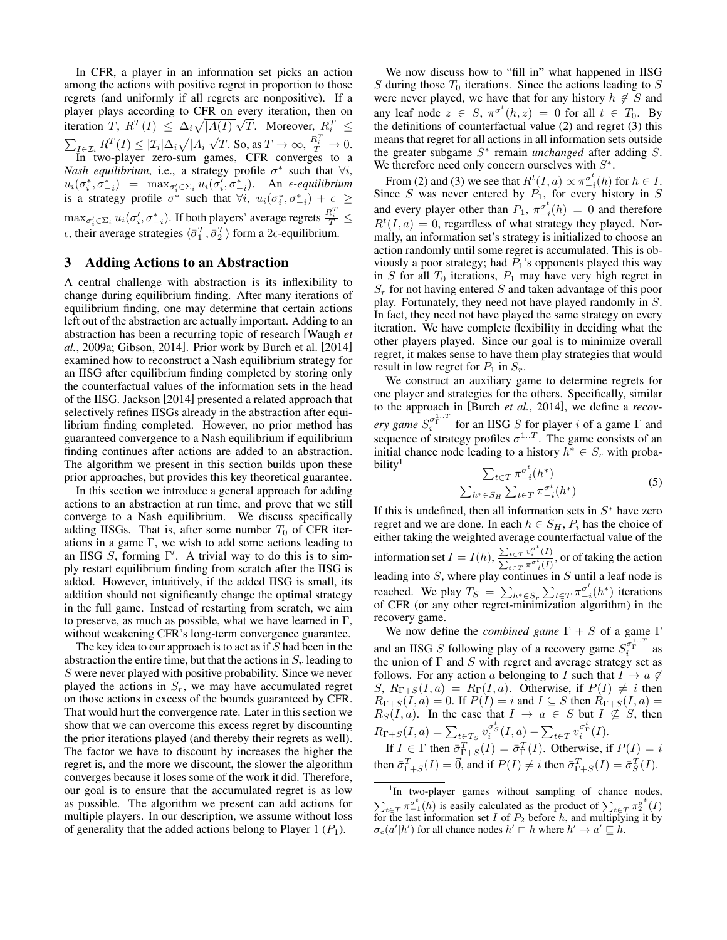In CFR, a player in an information set picks an action among the actions with positive regret in proportion to those regrets (and uniformly if all regrets are nonpositive). If a player plays according to CFR on every iteration, then on iteration T,  $R^T(I) \leq \Delta_i \sqrt{|A(I)|}$ every iteration, then on<br> $\sqrt{T}$ . Moreover,  $R_i^T \leq$  $\sum_{I \in \mathcal{I}_i} R^T(I) \leq |\mathcal{I}_i| \Delta_i \sqrt{|A_i|}$ √  $\overline{T}$ . So, as  $T \to \infty$ ,  $\frac{R_i^T}{T} \to 0$ . In two-player zero-sum games, CFR converges to a *Nash equilibrium*, i.e., a strategy profile  $\sigma^*$  such that  $\forall i$ ,  $u_i(\sigma_i^*, \sigma_{-i}^*)$  =  $\max_{\sigma_i' \in \Sigma_i} u_i(\sigma_i', \sigma_{-i}^*)$ . An  $\epsilon$ -equilibrium is a strategy profile  $\sigma^*$  such that  $\forall i$ ,  $u_i(\sigma_i^*, \sigma_{-i}^*) + \epsilon \geq$ 

 $\max_{\sigma_i'\in \Sigma_i}u_i(\sigma_i',\sigma_{-i}^*).$  If both players' average regrets  $\frac{R_i^T}{T}\leq$  $\epsilon$ , their average strategies  $\langle \bar{\sigma}_1^T, \bar{\sigma}_2^T \rangle$  form a  $2\epsilon$ -equilibrium.

# 3 Adding Actions to an Abstraction

A central challenge with abstraction is its inflexibility to change during equilibrium finding. After many iterations of equilibrium finding, one may determine that certain actions left out of the abstraction are actually important. Adding to an abstraction has been a recurring topic of research [Waugh *et al.*, 2009a; Gibson, 2014]. Prior work by Burch et al. [2014] examined how to reconstruct a Nash equilibrium strategy for an IISG after equilibrium finding completed by storing only the counterfactual values of the information sets in the head of the IISG. Jackson [2014] presented a related approach that selectively refines IISGs already in the abstraction after equilibrium finding completed. However, no prior method has guaranteed convergence to a Nash equilibrium if equilibrium finding continues after actions are added to an abstraction. The algorithm we present in this section builds upon these prior approaches, but provides this key theoretical guarantee.

In this section we introduce a general approach for adding actions to an abstraction at run time, and prove that we still converge to a Nash equilibrium. We discuss specifically adding IISGs. That is, after some number  $T_0$  of CFR iterations in a game  $\Gamma$ , we wish to add some actions leading to an IISG  $S$ , forming  $\Gamma'$ . A trivial way to do this is to simply restart equilibrium finding from scratch after the IISG is added. However, intuitively, if the added IISG is small, its addition should not significantly change the optimal strategy in the full game. Instead of restarting from scratch, we aim to preserve, as much as possible, what we have learned in  $\Gamma$ , without weakening CFR's long-term convergence guarantee.

The key idea to our approach is to act as if  $S$  had been in the abstraction the entire time, but that the actions in  $S_r$  leading to S were never played with positive probability. Since we never played the actions in  $S_r$ , we may have accumulated regret on those actions in excess of the bounds guaranteed by CFR. That would hurt the convergence rate. Later in this section we show that we can overcome this excess regret by discounting the prior iterations played (and thereby their regrets as well). The factor we have to discount by increases the higher the regret is, and the more we discount, the slower the algorithm converges because it loses some of the work it did. Therefore, our goal is to ensure that the accumulated regret is as low as possible. The algorithm we present can add actions for multiple players. In our description, we assume without loss of generality that the added actions belong to Player 1  $(P_1)$ .

We now discuss how to "fill in" what happened in IISG  $S$  during those  $T_0$  iterations. Since the actions leading to  $S$ were never played, we have that for any history  $h \notin S$  and any leaf node  $z \in S$ ,  $\pi^{\sigma^t}(h, z) = 0$  for all  $t \in T_0$ . By the definitions of counterfactual value (2) and regret (3) this means that regret for all actions in all information sets outside the greater subgame S ∗ remain *unchanged* after adding S. We therefore need only concern ourselves with  $S^*$ .

From (2) and (3) we see that  $R^t(I, a) \propto \pi_{-i}^{\sigma^t}(h)$  for  $h \in I$ . Since S was never entered by  $P_1$ , for every history in S and every player other than  $P_1$ ,  $\pi_{-i}^{\sigma^t}(h) = 0$  and therefore  $R^t(I, a) = 0$ , regardless of what strategy they played. Normally, an information set's strategy is initialized to choose an action randomly until some regret is accumulated. This is obviously a poor strategy; had  $P_1$ 's opponents played this way in  $S$  for all  $T_0$  iterations,  $P_1$  may have very high regret in  $S_r$  for not having entered S and taken advantage of this poor play. Fortunately, they need not have played randomly in S. In fact, they need not have played the same strategy on every iteration. We have complete flexibility in deciding what the other players played. Since our goal is to minimize overall regret, it makes sense to have them play strategies that would result in low regret for  $P_1$  in  $S_r$ .

We construct an auxiliary game to determine regrets for one player and strategies for the others. Specifically, similar to the approach in [Burch *et al.*, 2014], we define a *recovery game*  $S_i^{\sigma_{\Gamma}^{1..T}}$  for an IISG S for player *i* of a game  $\Gamma$  and sequence of strategy profiles  $\sigma^{1..T}$ . The game consists of an initial chance node leading to a history  $h^* \in S_r$  with proba $bility<sup>1</sup>$ 

$$
\frac{\sum_{t \in T} \pi_{-i}^{\sigma^t}(h^*)}{\sum_{h^* \in S_H} \sum_{t \in T} \pi_{-i}^{\sigma^t}(h^*)}
$$
\n<sup>(5)</sup>

If this is undefined, then all information sets in  $S^*$  have zero regret and we are done. In each  $h \in S_H$ ,  $P_i$  has the choice of either taking the weighted average counterfactual value of the information set  $I = I(h)$ ,  $\frac{\sum_{t \in T} v_i^{\sigma^t}(I)}{\sigma^t(I)}$  $\frac{\sum_{t \in T} v_i(t)}{\sum_{t \in T} \pi_{-i}^{\sigma_t}(I)}$ , or of taking the action leading into  $S$ , where play continues in  $S$  until a leaf node is reached. We play  $T_S = \sum_{h^* \in S_r} \sum_{t \in T} \pi_{-i}^{\sigma^t} (h^*)$  iterations of CFR (or any other regret-minimization algorithm) in the recovery game.

We now define the *combined game*  $\Gamma + S$  of a game  $\Gamma$ and an IISG S following play of a recovery game  $S_i^{\sigma_1^{1...T}}$  as the union of  $\Gamma$  and  $S$  with regret and average strategy set as follows. For any action a belonging to I such that  $I \rightarrow a \notin$ S,  $R_{\Gamma+S}(I,a) = R_{\Gamma}(I,a)$ . Otherwise, if  $P(I) \neq i$  then  $R_{\Gamma+S}(I,a) = 0$ . If  $P(I) = i$  and  $I \subseteq S$  then  $R_{\Gamma+S}(I,a) =$  $R_S(I, a)$ . In the case that  $I \rightarrow a \in S$  but  $I \nsubseteq S$ , then  $R_{\Gamma+S}(I,a) = \sum_{t \in T_S} v_i^{\sigma_S^t}(I,a) - \sum_{t \in T} v_i^{\sigma_{\Gamma}^t}(I).$ 

If  $I \in \Gamma$  then  $\bar{\sigma}_{\Gamma+S}^T(I) = \bar{\sigma}_{\Gamma}^T(I)$ . Otherwise, if  $P(I) = i$ then  $\bar{\sigma}_{\Gamma+S}^T(I) = \vec{0}$ , and if  $P(I) \neq i$  then  $\bar{\sigma}_{\Gamma+S}^T(I) = \bar{\sigma}_S^T(I)$ .

<sup>&</sup>lt;sup>1</sup>In two-player games without sampling of chance nodes,  $\sum_{t \in T} \pi_{-1}^{\sigma^t}(h)$  is easily calculated as the product of  $\sum_{t \in T} \pi_2^{\sigma^t}(I)$ for the last information set I of  $P_2$  before h, and multiplying it by  $\sigma_c(a'|h')$  for all chance nodes  $h' \sqsubset h$  where  $h' \to a' \sqsubseteq h$ .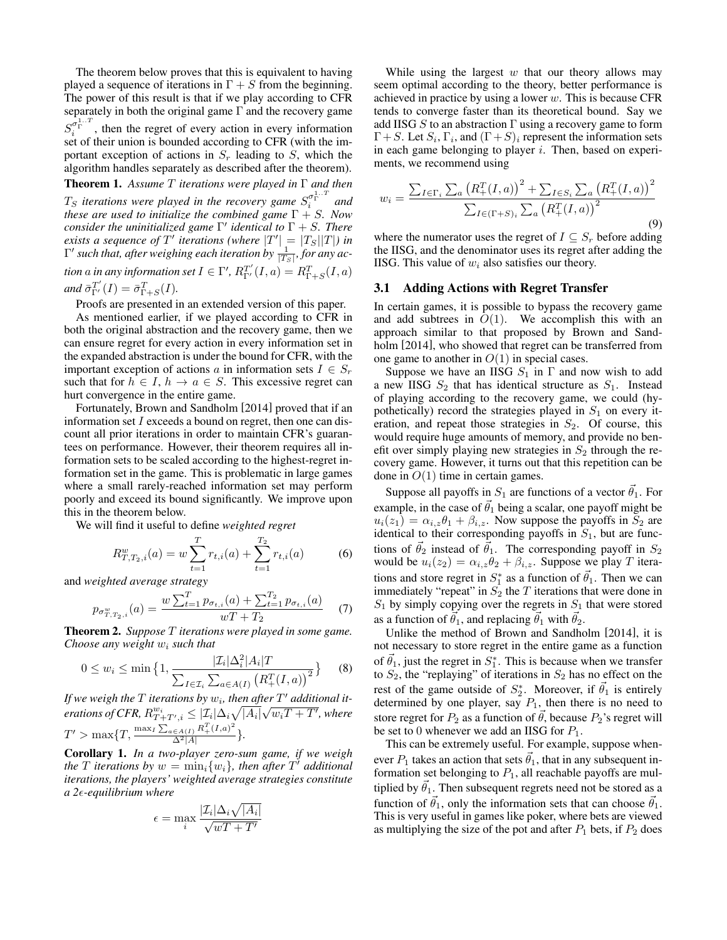The theorem below proves that this is equivalent to having played a sequence of iterations in  $\Gamma + S$  from the beginning. The power of this result is that if we play according to CFR separately in both the original game  $\Gamma$  and the recovery game  $S_i^{\sigma_{\Gamma}^{1...T}}$ , then the regret of every action in every information set of their union is bounded according to CFR (with the important exception of actions in  $S_r$  leading to S, which the algorithm handles separately as described after the theorem). Theorem 1. *Assume* T *iterations were played in* Γ *and then*

 $T_S$  *iterations were played in the recovery game*  $S_i^{\sigma_1^{1...T}}$  and *these are used to initialize the combined game* Γ + S*. Now consider the uninitialized game* Γ 0 *identical to* Γ + S*. There exists a sequence of*  $T'$  *iterations (where*  $|T'| = |T_S||T|$ ) *in*  $\Gamma'$  such that, after weighing each iteration by  $\frac{1}{|T_S|}$ , for any ac*tion* a in any information set  $I \in \Gamma'$ ,  $R_{\Gamma'}^{T'}(I,a) = R_{\Gamma+S}^T(I,a)$ 

and  $\bar{\sigma}_{\Gamma'}^{T'}(I) = \bar{\sigma}_{\Gamma+S}^{T}(I)$ .

Proofs are presented in an extended version of this paper.

As mentioned earlier, if we played according to CFR in both the original abstraction and the recovery game, then we can ensure regret for every action in every information set in the expanded abstraction is under the bound for CFR, with the important exception of actions a in information sets  $I \in S_r$ such that for  $h \in I$ ,  $h \to a \in S$ . This excessive regret can hurt convergence in the entire game.

Fortunately, Brown and Sandholm [2014] proved that if an information set I exceeds a bound on regret, then one can discount all prior iterations in order to maintain CFR's guarantees on performance. However, their theorem requires all information sets to be scaled according to the highest-regret information set in the game. This is problematic in large games where a small rarely-reached information set may perform poorly and exceed its bound significantly. We improve upon this in the theorem below.

We will find it useful to define *weighted regret*

$$
R_{T,T_2,i}^w(a) = w \sum_{t=1}^T r_{t,i}(a) + \sum_{t=1}^{T_2} r_{t,i}(a)
$$
 (6)

and *weighted average strategy*

$$
p_{\sigma_{T,T_2,i}^w}(a) = \frac{w\sum_{t=1}^T p_{\sigma_{t,i}}(a) + \sum_{t=1}^{T_2} p_{\sigma_{t,i}}(a)}{wT + T_2} \tag{7}
$$

Theorem 2. *Suppose* T *iterations were played in some game. Choose any weight*  $w_i$  *such that* 

$$
0 \le w_i \le \min\left\{1, \frac{|\mathcal{I}_i|\Delta_i^2|A_i|T}{\sum_{I \in \mathcal{I}_i} \sum_{a \in A(I)} (R_+^T(I, a))^2}\right\} \tag{8}
$$

If we weigh the  $T$  iterations by  $w_i$ , then after  $T'$  additional it*erations of CFR,*  $R_{T+T',i}^{w_i} \leq |\mathcal{I}_i|\Delta_i\sqrt{|A_i|}\sqrt{w_iT+T'}$ , where  $T' > \max\{T, \frac{\max_I \sum_{a \in A(I)} R_+^T (I,a)^2}{\Delta^2 \|A\|}$  $\frac{\in A(I)}{\Delta^2|A|}$  }.

Corollary 1. *In a two-player zero-sum game, if we weigh the*  $T$  *iterations* by  $w = \min_i \{w_i\}$ *, then after*  $T'$  *additional iterations, the players' weighted average strategies constitute a 2-equilibrium where*

$$
\epsilon = \max_{i} \frac{|\mathcal{I}_i| \Delta_i \sqrt{|A_i|}}{\sqrt{wT + T'}}
$$

While using the largest  $w$  that our theory allows may seem optimal according to the theory, better performance is achieved in practice by using a lower  $w$ . This is because CFR tends to converge faster than its theoretical bound. Say we add IISG S to an abstraction  $\Gamma$  using a recovery game to form  $\Gamma + S$ . Let  $S_i$ ,  $\Gamma_i$ , and  $(\Gamma + S)_i$  represent the information sets in each game belonging to player  $i$ . Then, based on experiments, we recommend using

$$
w_{i} = \frac{\sum_{I \in \Gamma_{i}} \sum_{a} (R_{+}^{T}(I, a))^{2} + \sum_{I \in S_{i}} \sum_{a} (R_{+}^{T}(I, a))^{2}}{\sum_{I \in (\Gamma + S)_{i}} \sum_{a} (R_{+}^{T}(I, a))^{2}}
$$
\n(9)

where the numerator uses the regret of  $I \subseteq S_r$  before adding the IISG, and the denominator uses its regret after adding the IISG. This value of  $w_i$  also satisfies our theory.

#### 3.1 Adding Actions with Regret Transfer

In certain games, it is possible to bypass the recovery game and add subtrees in  $O(1)$ . We accomplish this with an approach similar to that proposed by Brown and Sandholm [2014], who showed that regret can be transferred from one game to another in  $O(1)$  in special cases.

Suppose we have an IISG  $S_1$  in  $\Gamma$  and now wish to add a new IISG  $S_2$  that has identical structure as  $S_1$ . Instead of playing according to the recovery game, we could (hypothetically) record the strategies played in  $S_1$  on every iteration, and repeat those strategies in  $S_2$ . Of course, this would require huge amounts of memory, and provide no benefit over simply playing new strategies in  $S_2$  through the recovery game. However, it turns out that this repetition can be done in  $O(1)$  time in certain games.

Suppose all payoffs in  $S_1$  are functions of a vector  $\vec{\theta}_1$ . For example, in the case of  $\hat{\theta_1}$  being a scalar, one payoff might be  $u_i(z_1) = \alpha_{i,z} \theta_1 + \beta_{i,z}$ . Now suppose the payoffs in  $S_2$  are identical to their corresponding payoffs in  $S_1$ , but are functions of  $\vec{\theta}_2$  instead of  $\vec{\theta}_1$ . The corresponding payoff in  $S_2$ would be  $u_i(z_2) = \alpha_{i,z} \theta_2 + \beta_{i,z}$ . Suppose we play T iterations and store regret in  $S_1^*$  as a function of  $\vec{\theta}_1$ . Then we can immediately "repeat" in  $S_2$  the  $T$  iterations that were done in  $S_1$  by simply copying over the regrets in  $S_1$  that were stored as a function of  $\vec{\theta}_1$ , and replacing  $\vec{\theta}_1$  with  $\vec{\theta}_2$ .

Unlike the method of Brown and Sandholm [2014], it is not necessary to store regret in the entire game as a function of  $\vec{\theta}_1$ , just the regret in  $S_1^*$ . This is because when we transfer to  $S_2$ , the "replaying" of iterations in  $S_2$  has no effect on the rest of the game outside of  $S_2^*$ . Moreover, if  $\vec{\theta}_1$  is entirely determined by one player, say  $P_1$ , then there is no need to store regret for  $P_2$  as a function of  $\vec{\theta}$ , because  $P_2$ 's regret will be set to 0 whenever we add an IISG for  $P_1$ .

This can be extremely useful. For example, suppose whenever  $P_1$  takes an action that sets  $\vec{\theta}_1$ , that in any subsequent information set belonging to  $P_1$ , all reachable payoffs are multiplied by  $\theta_1$ . Then subsequent regrets need not be stored as a function of  $\vec{\theta}_1$ , only the information sets that can choose  $\vec{\theta}_1$ . This is very useful in games like poker, where bets are viewed as multiplying the size of the pot and after  $P_1$  bets, if  $P_2$  does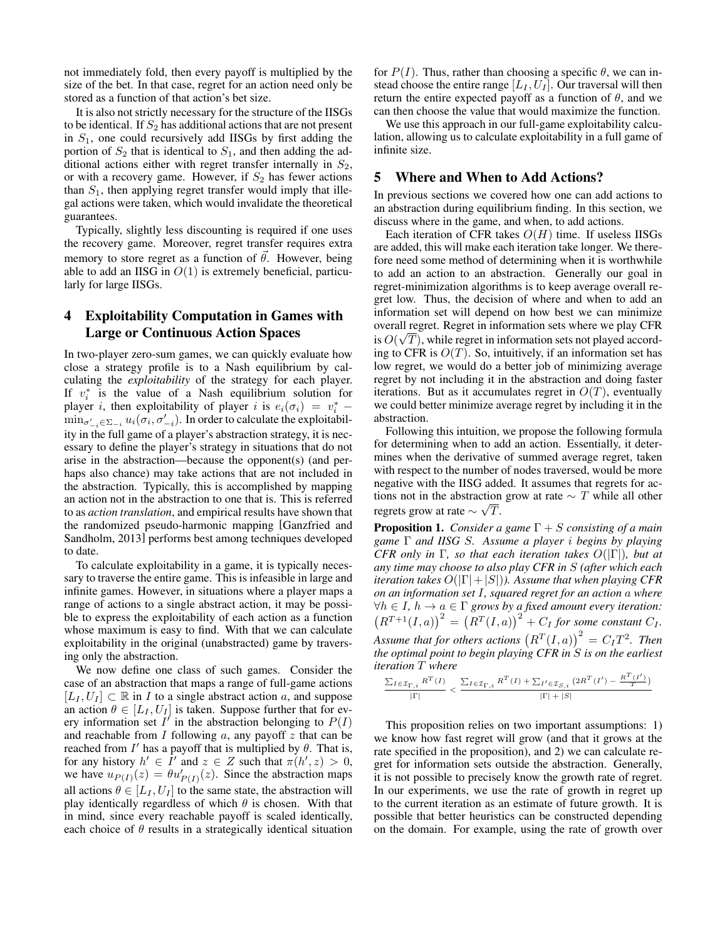not immediately fold, then every payoff is multiplied by the size of the bet. In that case, regret for an action need only be stored as a function of that action's bet size.

It is also not strictly necessary for the structure of the IISGs to be identical. If  $S_2$  has additional actions that are not present in  $S_1$ , one could recursively add IISGs by first adding the portion of  $S_2$  that is identical to  $S_1$ , and then adding the additional actions either with regret transfer internally in  $S_2$ , or with a recovery game. However, if  $S_2$  has fewer actions than  $S_1$ , then applying regret transfer would imply that illegal actions were taken, which would invalidate the theoretical guarantees.

Typically, slightly less discounting is required if one uses the recovery game. Moreover, regret transfer requires extra memory to store regret as a function of  $\vec{\theta}$ . However, being able to add an IISG in  $O(1)$  is extremely beneficial, particularly for large IISGs.

# 4 Exploitability Computation in Games with Large or Continuous Action Spaces

In two-player zero-sum games, we can quickly evaluate how close a strategy profile is to a Nash equilibrium by calculating the *exploitability* of the strategy for each player. If  $v_i^*$  is the value of a Nash equilibrium solution for player *i*, then exploitability of player *i* is  $e_i(\sigma_i) = v_i^*$  –  $\min_{\sigma'_{-i}\in\Sigma_{-i}} u_i(\sigma_i, \sigma'_{-i})$ . In order to calculate the exploitability in the full game of a player's abstraction strategy, it is necessary to define the player's strategy in situations that do not arise in the abstraction—because the opponent(s) (and perhaps also chance) may take actions that are not included in the abstraction. Typically, this is accomplished by mapping an action not in the abstraction to one that is. This is referred to as *action translation*, and empirical results have shown that the randomized pseudo-harmonic mapping [Ganzfried and Sandholm, 2013] performs best among techniques developed to date.

To calculate exploitability in a game, it is typically necessary to traverse the entire game. This is infeasible in large and infinite games. However, in situations where a player maps a range of actions to a single abstract action, it may be possible to express the exploitability of each action as a function whose maximum is easy to find. With that we can calculate exploitability in the original (unabstracted) game by traversing only the abstraction.

We now define one class of such games. Consider the case of an abstraction that maps a range of full-game actions  $[L_I, U_I] \subset \mathbb{R}$  in *I* to a single abstract action *a*, and suppose an action  $\theta \in [L_I, U_I]$  is taken. Suppose further that for every information set  $I^{\dagger}$  in the abstraction belonging to  $P(I)$ and reachable from  $I$  following  $a$ , any payoff  $z$  that can be reached from  $I'$  has a payoff that is multiplied by  $\theta$ . That is, for any history  $h' \in \hat{I}'$  and  $z \in Z$  such that  $\pi(h', z) > 0$ , we have  $u_{P(I)}(z) = \theta u'_{P(I)}(z)$ . Since the abstraction maps all actions  $\theta \in [L_I, U_I]$  to the same state, the abstraction will play identically regardless of which  $\theta$  is chosen. With that in mind, since every reachable payoff is scaled identically, each choice of  $\theta$  results in a strategically identical situation for  $P(I)$ . Thus, rather than choosing a specific  $\theta$ , we can instead choose the entire range  $[L_I, U_I]$ . Our traversal will then return the entire expected payoff as a function of  $\theta$ , and we can then choose the value that would maximize the function.

We use this approach in our full-game exploitability calculation, allowing us to calculate exploitability in a full game of infinite size.

### 5 Where and When to Add Actions?

In previous sections we covered how one can add actions to an abstraction during equilibrium finding. In this section, we discuss where in the game, and when, to add actions.

Each iteration of CFR takes  $O(H)$  time. If useless IISGs are added, this will make each iteration take longer. We therefore need some method of determining when it is worthwhile to add an action to an abstraction. Generally our goal in regret-minimization algorithms is to keep average overall regret low. Thus, the decision of where and when to add an information set will depend on how best we can minimize overall regret. Regret in information sets where we play CFR √ is  $O(\sqrt{T})$ , while regret in information sets not played according to CFR is  $O(T)$ . So, intuitively, if an information set has low regret, we would do a better job of minimizing average regret by not including it in the abstraction and doing faster iterations. But as it accumulates regret in  $O(T)$ , eventually we could better minimize average regret by including it in the abstraction.

Following this intuition, we propose the following formula for determining when to add an action. Essentially, it determines when the derivative of summed average regret, taken with respect to the number of nodes traversed, would be more negative with the IISG added. It assumes that regrets for actions not in the abstraction grow at rate  $\sim T$  while all other regrets grow at rate  $\sim \sqrt{T}$ .

Proposition 1. *Consider a game* Γ + S *consisting of a main game* Γ *and IISG* S*. Assume a player* i *begins by playing CFR only in* Γ*, so that each iteration takes* O(|Γ|)*, but at any time may choose to also play CFR in* S *(after which each iteration takes*  $O(|\Gamma|+|S|)$ *). Assume that when playing CFR on an information set* I*, squared regret for an action* a *where*  $∀h ∈ I, h → a ∈ Γ grows by a fixed amount every iteration:$  $(R^{T+1}(I, a))^{2} = (R^{T}(I, a))^{2} + C_{I}$  for some constant  $C_{I}$ . Assume that for others actions  $(R^T(I,a))^2 = C_I T^2$ . Then *the optimal point to begin playing CFR in* S *is on the earliest iteration* T *where*

$$
\frac{\sum_{I \in \mathcal{I}_{\Gamma,i}} R^T(I)}{|\Gamma|} < \frac{\sum_{I \in \mathcal{I}_{\Gamma,i}} R^T(I) + \sum_{I' \in \mathcal{I}_{S,i}} \left(2R^T(I') - \frac{R^T(I')}{T}\right)}{|\Gamma| + |S|}
$$

This proposition relies on two important assumptions: 1) we know how fast regret will grow (and that it grows at the rate specified in the proposition), and 2) we can calculate regret for information sets outside the abstraction. Generally, it is not possible to precisely know the growth rate of regret. In our experiments, we use the rate of growth in regret up to the current iteration as an estimate of future growth. It is possible that better heuristics can be constructed depending on the domain. For example, using the rate of growth over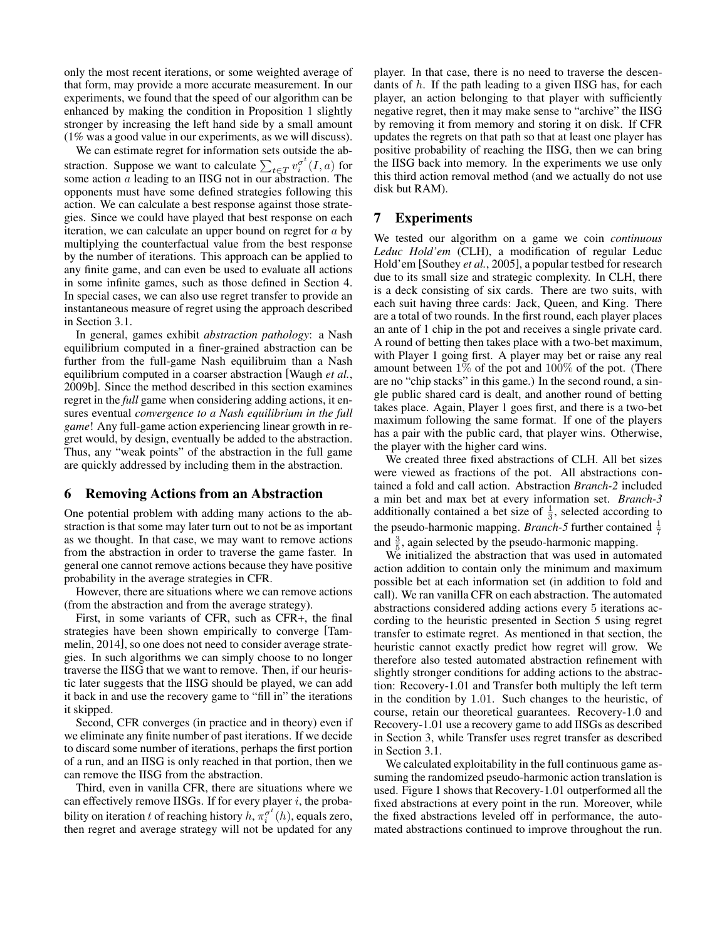only the most recent iterations, or some weighted average of that form, may provide a more accurate measurement. In our experiments, we found that the speed of our algorithm can be enhanced by making the condition in Proposition 1 slightly stronger by increasing the left hand side by a small amount (1% was a good value in our experiments, as we will discuss).

We can estimate regret for information sets outside the abstraction. Suppose we want to calculate  $\sum_{t \in T} v_i^{\sigma^t}(I, a)$  for some action  $\alpha$  leading to an IISG not in our abstraction. The opponents must have some defined strategies following this action. We can calculate a best response against those strategies. Since we could have played that best response on each iteration, we can calculate an upper bound on regret for a by multiplying the counterfactual value from the best response by the number of iterations. This approach can be applied to any finite game, and can even be used to evaluate all actions in some infinite games, such as those defined in Section 4. In special cases, we can also use regret transfer to provide an instantaneous measure of regret using the approach described in Section 3.1.

In general, games exhibit *abstraction pathology*: a Nash equilibrium computed in a finer-grained abstraction can be further from the full-game Nash equilibruim than a Nash equilibrium computed in a coarser abstraction [Waugh *et al.*, 2009b]. Since the method described in this section examines regret in the *full* game when considering adding actions, it ensures eventual *convergence to a Nash equilibrium in the full game*! Any full-game action experiencing linear growth in regret would, by design, eventually be added to the abstraction. Thus, any "weak points" of the abstraction in the full game are quickly addressed by including them in the abstraction.

#### 6 Removing Actions from an Abstraction

One potential problem with adding many actions to the abstraction is that some may later turn out to not be as important as we thought. In that case, we may want to remove actions from the abstraction in order to traverse the game faster. In general one cannot remove actions because they have positive probability in the average strategies in CFR.

However, there are situations where we can remove actions (from the abstraction and from the average strategy).

First, in some variants of CFR, such as CFR+, the final strategies have been shown empirically to converge [Tammelin, 2014], so one does not need to consider average strategies. In such algorithms we can simply choose to no longer traverse the IISG that we want to remove. Then, if our heuristic later suggests that the IISG should be played, we can add it back in and use the recovery game to "fill in" the iterations it skipped.

Second, CFR converges (in practice and in theory) even if we eliminate any finite number of past iterations. If we decide to discard some number of iterations, perhaps the first portion of a run, and an IISG is only reached in that portion, then we can remove the IISG from the abstraction.

Third, even in vanilla CFR, there are situations where we can effectively remove IISGs. If for every player  $i$ , the probability on iteration t of reaching history  $h, \pi_i^{\sigma^t}(h)$ , equals zero, then regret and average strategy will not be updated for any player. In that case, there is no need to traverse the descendants of h. If the path leading to a given IISG has, for each player, an action belonging to that player with sufficiently negative regret, then it may make sense to "archive" the IISG by removing it from memory and storing it on disk. If CFR updates the regrets on that path so that at least one player has positive probability of reaching the IISG, then we can bring the IISG back into memory. In the experiments we use only this third action removal method (and we actually do not use disk but RAM).

## 7 Experiments

We tested our algorithm on a game we coin *continuous Leduc Hold'em* (CLH), a modification of regular Leduc Hold'em [Southey *et al.*, 2005], a popular testbed for research due to its small size and strategic complexity. In CLH, there is a deck consisting of six cards. There are two suits, with each suit having three cards: Jack, Queen, and King. There are a total of two rounds. In the first round, each player places an ante of 1 chip in the pot and receives a single private card. A round of betting then takes place with a two-bet maximum, with Player 1 going first. A player may bet or raise any real amount between 1% of the pot and 100% of the pot. (There are no "chip stacks" in this game.) In the second round, a single public shared card is dealt, and another round of betting takes place. Again, Player 1 goes first, and there is a two-bet maximum following the same format. If one of the players has a pair with the public card, that player wins. Otherwise, the player with the higher card wins.

We created three fixed abstractions of CLH. All bet sizes were viewed as fractions of the pot. All abstractions contained a fold and call action. Abstraction *Branch-2* included a min bet and max bet at every information set. *Branch-3* additionally contained a bet size of  $\frac{1}{3}$ , selected according to the pseudo-harmonic mapping. *Branch*-5 further contained  $\frac{1}{7}$ and  $\frac{3}{5}$ , again selected by the pseudo-harmonic mapping.

We initialized the abstraction that was used in automated action addition to contain only the minimum and maximum possible bet at each information set (in addition to fold and call). We ran vanilla CFR on each abstraction. The automated abstractions considered adding actions every 5 iterations according to the heuristic presented in Section 5 using regret transfer to estimate regret. As mentioned in that section, the heuristic cannot exactly predict how regret will grow. We therefore also tested automated abstraction refinement with slightly stronger conditions for adding actions to the abstraction: Recovery-1.01 and Transfer both multiply the left term in the condition by 1.01. Such changes to the heuristic, of course, retain our theoretical guarantees. Recovery-1.0 and Recovery-1.01 use a recovery game to add IISGs as described in Section 3, while Transfer uses regret transfer as described in Section 3.1.

We calculated exploitability in the full continuous game assuming the randomized pseudo-harmonic action translation is used. Figure 1 shows that Recovery-1.01 outperformed all the fixed abstractions at every point in the run. Moreover, while the fixed abstractions leveled off in performance, the automated abstractions continued to improve throughout the run.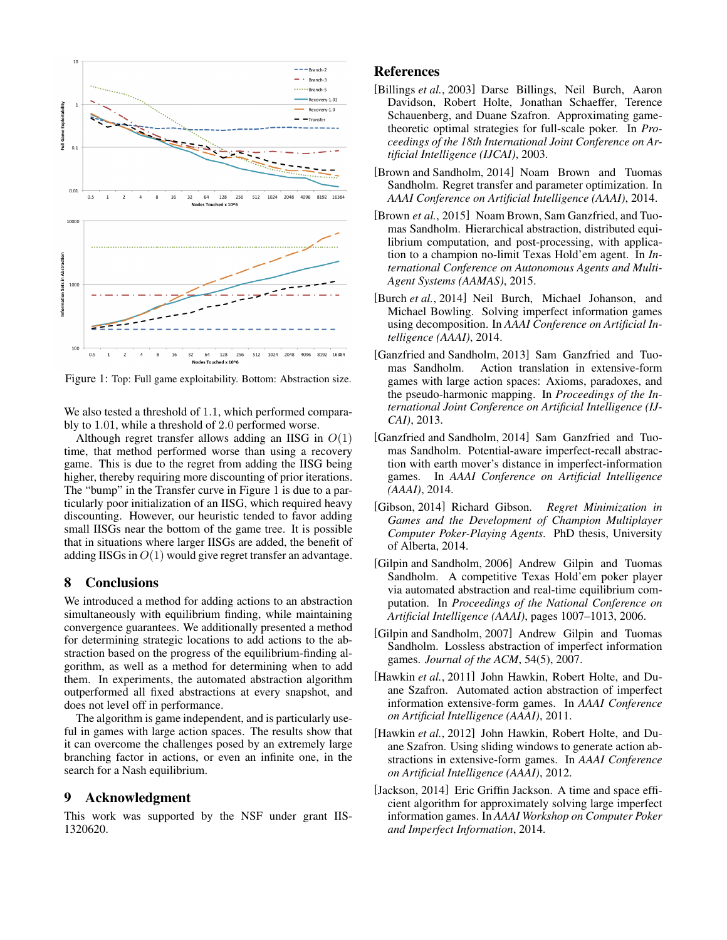

Figure 1: Top: Full game exploitability. Bottom: Abstraction size.

We also tested a threshold of 1.1, which performed comparably to 1.01, while a threshold of 2.0 performed worse.

Although regret transfer allows adding an IISG in  $O(1)$ time, that method performed worse than using a recovery game. This is due to the regret from adding the IISG being higher, thereby requiring more discounting of prior iterations. The "bump" in the Transfer curve in Figure 1 is due to a particularly poor initialization of an IISG, which required heavy discounting. However, our heuristic tended to favor adding small IISGs near the bottom of the game tree. It is possible that in situations where larger IISGs are added, the benefit of adding IISGs in  $O(1)$  would give regret transfer an advantage.

### 8 Conclusions

We introduced a method for adding actions to an abstraction simultaneously with equilibrium finding, while maintaining convergence guarantees. We additionally presented a method for determining strategic locations to add actions to the abstraction based on the progress of the equilibrium-finding algorithm, as well as a method for determining when to add them. In experiments, the automated abstraction algorithm outperformed all fixed abstractions at every snapshot, and does not level off in performance.

The algorithm is game independent, and is particularly useful in games with large action spaces. The results show that it can overcome the challenges posed by an extremely large branching factor in actions, or even an infinite one, in the search for a Nash equilibrium.

### 9 Acknowledgment

This work was supported by the NSF under grant IIS-1320620.

## References

- [Billings *et al.*, 2003] Darse Billings, Neil Burch, Aaron Davidson, Robert Holte, Jonathan Schaeffer, Terence Schauenberg, and Duane Szafron. Approximating gametheoretic optimal strategies for full-scale poker. In *Proceedings of the 18th International Joint Conference on Artificial Intelligence (IJCAI)*, 2003.
- [Brown and Sandholm, 2014] Noam Brown and Tuomas Sandholm. Regret transfer and parameter optimization. In *AAAI Conference on Artificial Intelligence (AAAI)*, 2014.
- [Brown *et al.*, 2015] Noam Brown, Sam Ganzfried, and Tuomas Sandholm. Hierarchical abstraction, distributed equilibrium computation, and post-processing, with application to a champion no-limit Texas Hold'em agent. In *International Conference on Autonomous Agents and Multi-Agent Systems (AAMAS)*, 2015.
- [Burch *et al.*, 2014] Neil Burch, Michael Johanson, and Michael Bowling. Solving imperfect information games using decomposition. In *AAAI Conference on Artificial Intelligence (AAAI)*, 2014.
- [Ganzfried and Sandholm, 2013] Sam Ganzfried and Tuomas Sandholm. Action translation in extensive-form games with large action spaces: Axioms, paradoxes, and the pseudo-harmonic mapping. In *Proceedings of the International Joint Conference on Artificial Intelligence (IJ-CAI)*, 2013.
- [Ganzfried and Sandholm, 2014] Sam Ganzfried and Tuomas Sandholm. Potential-aware imperfect-recall abstraction with earth mover's distance in imperfect-information games. In *AAAI Conference on Artificial Intelligence (AAAI)*, 2014.
- [Gibson, 2014] Richard Gibson. *Regret Minimization in Games and the Development of Champion Multiplayer Computer Poker-Playing Agents*. PhD thesis, University of Alberta, 2014.
- [Gilpin and Sandholm, 2006] Andrew Gilpin and Tuomas Sandholm. A competitive Texas Hold'em poker player via automated abstraction and real-time equilibrium computation. In *Proceedings of the National Conference on Artificial Intelligence (AAAI)*, pages 1007–1013, 2006.
- [Gilpin and Sandholm, 2007] Andrew Gilpin and Tuomas Sandholm. Lossless abstraction of imperfect information games. *Journal of the ACM*, 54(5), 2007.
- [Hawkin *et al.*, 2011] John Hawkin, Robert Holte, and Duane Szafron. Automated action abstraction of imperfect information extensive-form games. In *AAAI Conference on Artificial Intelligence (AAAI)*, 2011.
- [Hawkin *et al.*, 2012] John Hawkin, Robert Holte, and Duane Szafron. Using sliding windows to generate action abstractions in extensive-form games. In *AAAI Conference on Artificial Intelligence (AAAI)*, 2012.
- [Jackson, 2014] Eric Griffin Jackson. A time and space efficient algorithm for approximately solving large imperfect information games. In *AAAI Workshop on Computer Poker and Imperfect Information*, 2014.